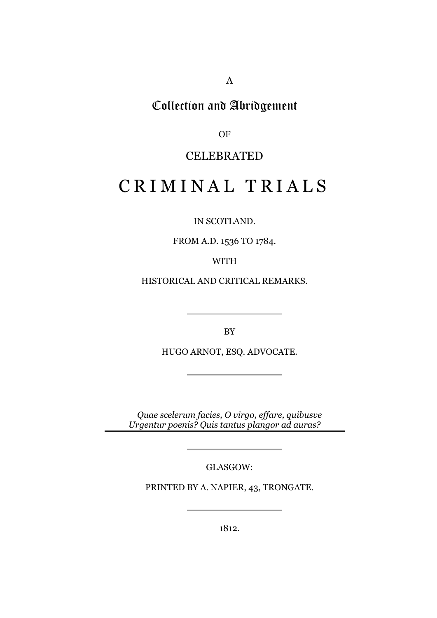A

## Collection and Abridgement

OF

### CELEBRATED

# CRIMINAL TRIALS

IN SCOTLAND.

FROM A.D. 1536 TO 1784.

WITH

HISTORICAL AND CRITICAL REMARKS.

BY

HUGO ARNOT, ESQ. ADVOCATE.

*Quae scelerum facies, O virgo, effare, quibusve Urgentur poenis? Quis tantus plangor ad auras?*

GLASGOW:

PRINTED BY A. NAPIER, 43, TRONGATE.

1812.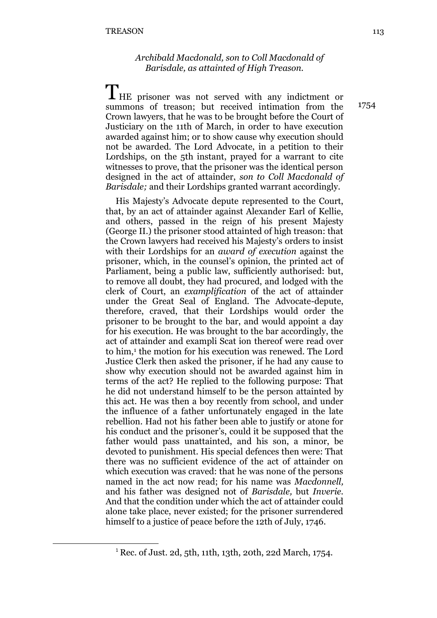#### *Archibald Macdonald, son to Coll Macdonald of Barisdale, as attainted of High Treason.*

THE prisoner was not served with any indictment or summons of treason; but received intimation from the Crown lawyers, that he was to be brought before the Court of Justiciary on the 11th of March, in order to have execution awarded against him; or to show cause why execution should not be awarded. The Lord Advocate, in a petition to their Lordships, on the 5th instant, prayed for a warrant to cite witnesses to prove, that the prisoner was the identical person designed in the act of attainder, *son to Coll Macdonald of Barisdale;* and their Lordships granted warrant accordingly.

His Majesty's Advocate depute represented to the Court, that, by an act of attainder against Alexander Earl of Kellie, and others, passed in the reign of his present Majesty (George II.) the prisoner stood attainted of high treason: that the Crown lawyers had received his Majesty's orders to insist with their Lordships for an *award of execution* against the prisoner, which, in the counsel's opinion, the printed act of Parliament, being a public law, sufficiently authorised: but, to remove all doubt, they had procured, and lodged with the clerk of Court, an *examplification* of the act of attainder under the Great Seal of England. The Advocate-depute, therefore, craved, that their Lordships would order the prisoner to be brought to the bar, and would appoint a day for his execution. He was brought to the bar accordingly, the act of attainder and exampli Scat ion thereof were read over to him,<sup>1</sup> the motion for his execution was renewed. The Lord Justice Clerk then asked the prisoner, if he had any cause to show why execution should not be awarded against him in terms of the act? He replied to the following purpose: That he did not understand himself to be the person attainted by this act. He was then a boy recently from school, and under the influence of a father unfortunately engaged in the late rebellion. Had not his father been able to justify or atone for his conduct and the prisoner's, could it be supposed that the father would pass unattainted, and his son, a minor, be devoted to punishment. His special defences then were: That there was no sufficient evidence of the act of attainder on which execution was craved: that he was none of the persons named in the act now read; for his name was *Macdonnell,* and his father was designed not of *Barisdale,* but *Inverie.* And that the condition under which the act of attainder could alone take place, never existed; for the prisoner surrendered himself to a justice of peace before the 12th of July, 1746.

1

<sup>1</sup> Rec. of Just. 2d, 5th, 11th, 13th, 20th, 22d March, 1754.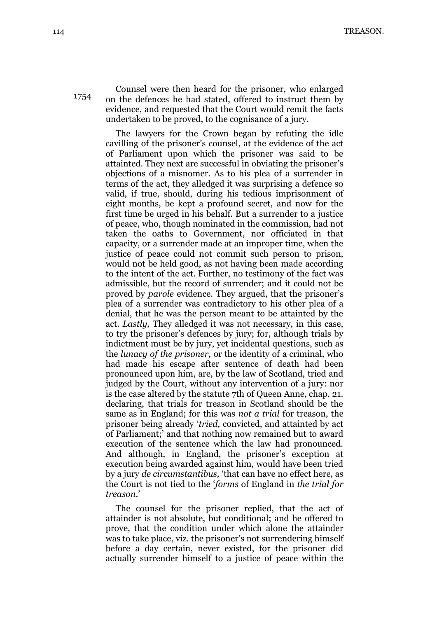114 TREASON.

Counsel were then heard for the prisoner, who enlarged on the defences he had stated, offered to instruct them by

evidence, and requested that the Court would remit the facts

undertaken to be proved, to the cognisance of a jury.

The lawyers for the Crown began by refuting the idle cavilling of the prisoner's counsel, at the evidence of the act of Parliament upon which the prisoner was said to be attainted. They next are successful in obviating the prisoner's objections of a misnomer. As to his plea of a surrender in terms of the act, they alledged it was surprising a defence so valid, if true, should, during his tedious imprisonment of eight months, be kept a profound secret, and now for the first time be urged in his behalf. But a surrender to a justice of peace, who, though nominated in the commission, had not taken the oaths to Government, nor officiated in that capacity, or a surrender made at an improper time, when the justice of peace could not commit such person to prison, would not be held good, as not having been made according to the intent of the act. Further, no testimony of the fact was admissible, but the record of surrender; and it could not be proved by *parole* evidence. They argued, that the prisoner's plea of a surrender was contradictory to his other plea of a denial, that he was the person meant to be attainted by the act. *Lastly,* They alledged it was not necessary, in this case, to try the prisoner's defences by jury; for, although trials by indictment must be by jury, yet incidental questions, such as the *lunacy of the prisoner,* or the identity of a criminal, who had made his escape after sentence of death had been pronounced upon him, are, by the law of Scotland, tried and judged by the Court, without any intervention of a jury: nor is the case altered by the statute 7th of Queen Anne, chap. 21. declaring, that trials for treason in Scotland should be the same as in England; for this was *not a trial* for treason, the prisoner being already '*tried,* convicted, and attainted by act of Parliament;' and that nothing now remained but to award execution of the sentence which the law had pronounced. And although, in England, the prisoner's exception at execution being awarded against him, would have been tried by a jury *de circumstantibus,* 'that can have no effect here, as the Court is not tied to the '*forms* of England in *the trial for treason*.'

The counsel for the prisoner replied, that the act of attainder is not absolute, but conditional; and he offered to prove, that the condition under which alone the attainder was to take place, viz. the prisoner's not surrendering himself before a day certain, never existed, for the prisoner did actually surrender himself to a justice of peace within the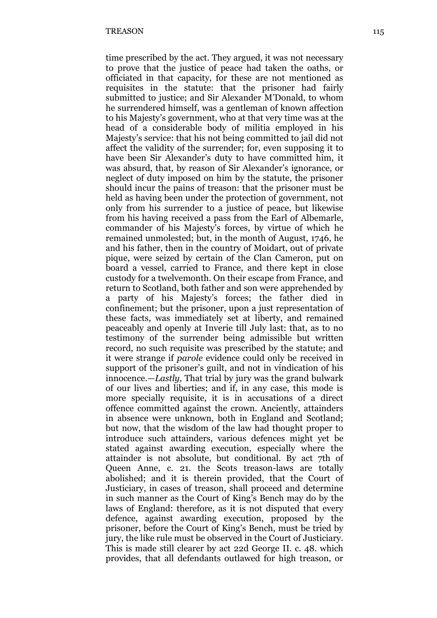time prescribed by the act. They argued, it was not necessary to prove that the justice of peace had taken the oaths, or officiated in that capacity, for these are not mentioned as requisites in the statute: that the prisoner had fairly submitted to justice; and Sir Alexander M'Donald, to whom he surrendered himself, was a gentleman of known affection to his Majesty's government, who at that very time was at the head of a considerable body of militia employed in his Majesty's service: that his not being committed to jail did not affect the validity of the surrender; for, even supposing it to have been Sir Alexander's duty to have committed him, it was absurd, that, by reason of Sir Alexander's ignorance, or neglect of duty imposed on him by the statute, the prisoner should incur the pains of treason: that the prisoner must be held as having been under the protection of government, not only from his surrender to a justice of peace, but likewise from his having received a pass from the Earl of Albemarle, commander of his Majesty's forces, by virtue of which he remained unmolested; but, in the month of August, 1746, he and his father, then in the country of Moidart, out of private pique, were seized by certain of the Clan Cameron, put on board a vessel, carried to France, and there kept in close custody for a twelvemonth. On their escape from France, and return to Scotland, both father and son were apprehended by a party of his Majesty's forces; the father died in confinement; but the prisoner, upon a just representation of these facts, was immediately set at liberty, and remained peaceably and openly at Inverie till July last: that, as to no testimony of the surrender being admissible but written record, no such requisite was prescribed by the statute; and it were strange if *parole* evidence could only be received in support of the prisoner's guilt, and not in vindication of his innocence.—*Lastly,* That trial by jury was the grand bulwark of our lives and liberties; and if, in any case, this mode is more specially requisite, it is in accusations of a direct offence committed against the crown. Anciently, attainders in absence were unknown, both in England and Scotland; but now, that the wisdom of the law had thought proper to introduce such attainders, various defences might yet be stated against awarding execution, especially where the attainder is not absolute, but conditional. By act 7th of Queen Anne, c. 21. the Scots treason-laws are totally abolished; and it is therein provided, that the Court of Justiciary, in cases of treason, shall proceed and determine in such manner as the Court of King's Bench may do by the laws of England: therefore, as it is not disputed that every defence, against awarding execution, proposed by the prisoner, before the Court of King's Bench, must be tried by jury, the like rule must be observed in the Court of Justiciary. This is made still clearer by act 22d George II. c. 48. which provides, that all defendants outlawed for high treason, or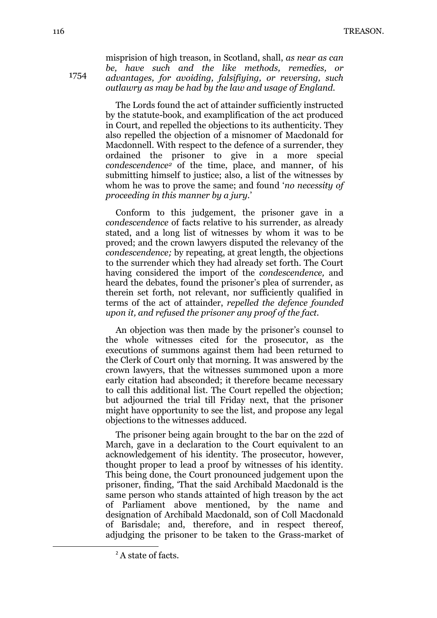misprision of high treason, in Scotland, shall, *as near as can be, have such and the like methods, remedies, or advantages, for avoiding, falsifiying, or reversing, such outlawry as may be had by the law and usage of England.*

The Lords found the act of attainder sufficiently instructed by the statute-book, and examplification of the act produced in Court, and repelled the objections to its authenticity. They also repelled the objection of a misnomer of Macdonald for Macdonnell. With respect to the defence of a surrender, they ordained the prisoner to give in a more special *condescendence<sup>2</sup>* of the time, place, and manner, of his submitting himself to justice; also, a list of the witnesses by whom he was to prove the same; and found '*no necessity of proceeding in this manner by a jury.*'

Conform to this judgement, the prisoner gave in a *condescendence* of facts relative to his surrender, as already stated, and a long list of witnesses by whom it was to be proved; and the crown lawyers disputed the relevancy of the *condescendence;* by repeating, at great length, the objections to the surrender which they had already set forth. The Court having considered the import of the *condescendence,* and heard the debates, found the prisoner's plea of surrender, as therein set forth, not relevant, nor sufficiently qualified in terms of the act of attainder, *repelled the defence founded upon it, and refused the prisoner any proof of the fact.*

An objection was then made by the prisoner's counsel to the whole witnesses cited for the prosecutor, as the executions of summons against them had been returned to the Clerk of Court only that morning. It was answered by the crown lawyers, that the witnesses summoned upon a more early citation had absconded; it therefore became necessary to call this additional list. The Court repelled the objection; but adjourned the trial till Friday next, that the prisoner might have opportunity to see the list, and propose any legal objections to the witnesses adduced.

The prisoner being again brought to the bar on the 22d of March, gave in a declaration to the Court equivalent to an acknowledgement of his identity. The prosecutor, however, thought proper to lead a proof by witnesses of his identity. This being done, the Court pronounced judgement upon the prisoner, finding, 'That the said Archibald Macdonald is the same person who stands attainted of high treason by the act of Parliament above mentioned, by the name and designation of Archibald Macdonald, son of Coll Macdonald of Barisdale; and, therefore, and in respect thereof, adjudging the prisoner to be taken to the Grass-market of

1

<sup>&</sup>lt;sup>2</sup> A state of facts.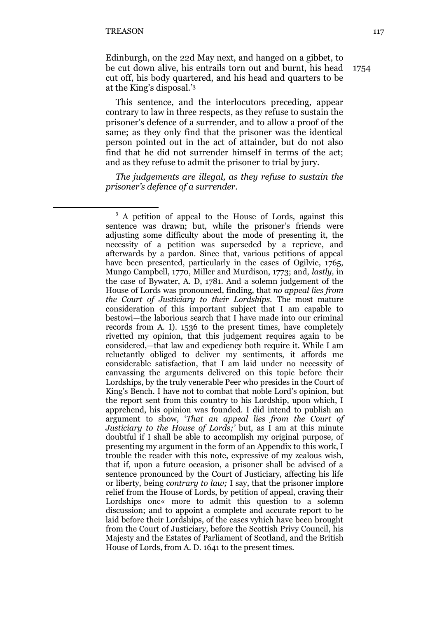**.** 

Edinburgh, on the 22d May next, and hanged on a gibbet, to be cut down alive, his entrails torn out and burnt, his head cut off, his body quartered, and his head and quarters to be at the King's disposal.' 3

This sentence, and the interlocutors preceding, appear contrary to law in three respects, as they refuse to sustain the prisoner's defence of a surrender, and to allow a proof of the same; as they only find that the prisoner was the identical person pointed out in the act of attainder, but do not also find that he did not surrender himself in terms of the act; and as they refuse to admit the prisoner to trial by jury.

*The judgements are illegal, as they refuse to sustain the prisoner's defence of a surrender.*

<sup>&</sup>lt;sup>3</sup> A petition of appeal to the House of Lords, against this sentence was drawn; but, while the prisoner's friends were adjusting some difficulty about the mode of presenting it, the necessity of a petition was superseded by a reprieve, and afterwards by a pardon. Since that, various petitions of appeal have been presented, particularly in the cases of Ogilvie, 1765, Mungo Campbell, 1770, Miller and Murdison, 1773; and, *lastly,* in the case of Bywater, A. D, 1781. And a solemn judgement of the House of Lords was pronounced, finding, that *no appeal lies from the Court of Justiciary to their Lordships.* The most mature consideration of this important subject that I am capable to bestowi—the laborious search that I have made into our criminal records from A. I). 1536 to the present times, have completely rivetted my opinion, that this judgement requires again to be considered,—that law and expediency both require it. While I am reluctantly obliged to deliver my sentiments, it affords me considerable satisfaction, that I am laid under no necessity of canvassing the arguments delivered on this topic before their Lordships, by the truly venerable Peer who presides in the Court of King's Bench. I have not to combat that noble Lord's opinion, but the report sent from this country to his Lordship, upon which, I apprehend, his opinion was founded. I did intend to publish an argument to show, '*That an appeal lies from the Court of Justiciary to the House of Lords;'* but, as I am at this minute doubtful if I shall be able to accomplish my original purpose, of presenting my argument in the form of an Appendix to this work, I trouble the reader with this note, expressive of my zealous wish, that if, upon a future occasion, a prisoner shall be advised of a sentence pronounced by the Court of Justiciary, affecting his life or liberty, being *contrary to law;* I say, that the prisoner implore relief from the House of Lords, by petition of appeal, craving their Lordships onc« more to admit this question to a solemn discussion; and to appoint a complete and accurate report to be laid before their Lordships, of the cases vyhich have been brought from the Court of Justiciary, before the Scottish Privy Council, his Majesty and the Estates of Parliament of Scotland, and the British House of Lords, from A. D. 1641 to the present times.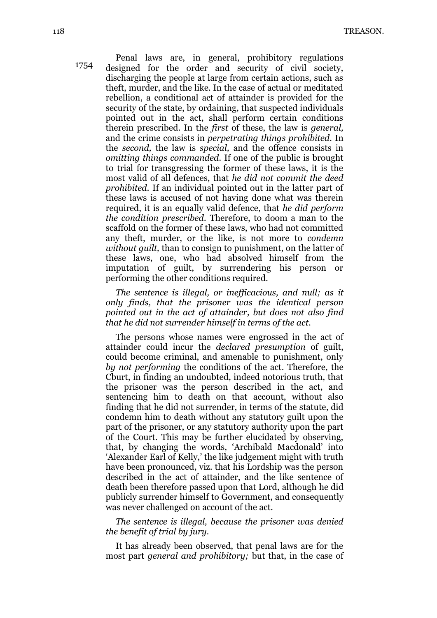Penal laws are, in general, prohibitory regulations designed for the order and security of civil society, discharging the people at large from certain actions, such as theft, murder, and the like. In the case of actual or meditated rebellion, a conditional act of attainder is provided for the security of the state, by ordaining, that suspected individuals pointed out in the act, shall perform certain conditions therein prescribed. In the *first* of these, the law is *general,* and the crime consists in *perpetrating things prohibited.* In the *second,* the law is *special,* and the offence consists in *omitting things commanded.* If one of the public is brought to trial for transgressing the former of these laws, it is the most valid of all defences, that *he did not commit the deed prohibited.* If an individual pointed out in the latter part of these laws is accused of not having done what was therein required, it is an equally valid defence, that *he did perform the condition prescribed.* Therefore, to doom a man to the scaffold on the former of these laws, who had not committed any theft, murder, or the like, is not more to *condemn without guilt,* than to consign to punishment, on the latter of these laws, one, who had absolved himself from the imputation of guilt, by surrendering his person or performing the other conditions required.

*The sentence is illegal, or inefficacious, and null; as it only finds, that the prisoner was the identical person pointed out in the act of attainder, but does not also find that he did not surrender himself in terms of the act.*

The persons whose names were engrossed in the act of attainder could incur the *declared presumption* of guilt, could become criminal, and amenable to punishment, only *by not performing* the conditions of the act. Therefore, the Cburt, in finding an undoubted, indeed notorious truth, that the prisoner was the person described in the act, and sentencing him to death on that account, without also finding that he did not surrender, in terms of the statute, did condemn him to death without any statutory guilt upon the part of the prisoner, or any statutory authority upon the part of the Court. This may be further elucidated by observing, that, by changing the words, 'Archibald Macdonald' into 'Alexander Earl of Kelly,' the like judgement might with truth have been pronounced, viz. that his Lordship was the person described in the act of attainder, and the like sentence of death been therefore passed upon that Lord, although he did publicly surrender himself to Government, and consequently was never challenged on account of the act.

*The sentence is illegal, because the prisoner was denied the benefit of trial by jury.*

It has already been observed, that penal laws are for the most part *general and prohibitory;* but that, in the case of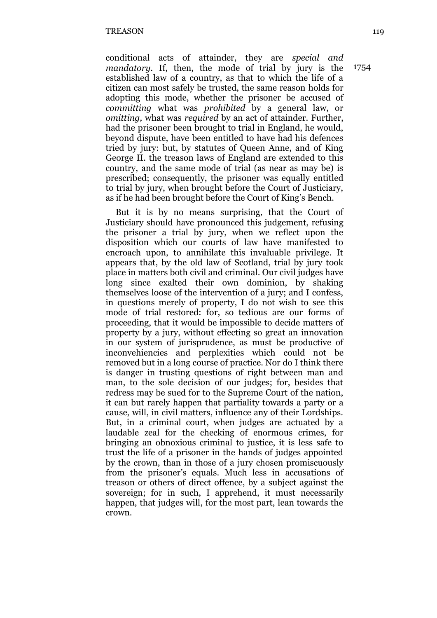conditional acts of attainder, they are *special and mandatory.* If, then, the mode of trial by jury is the established law of a country, as that to which the life of a citizen can most safely be trusted, the same reason holds for adopting this mode, whether the prisoner be accused of *committing* what was *prohibited* by a general law, or *omitting,* what was *required* by an act of attainder. Further, had the prisoner been brought to trial in England, he would, beyond dispute, have been entitled to have had his defences tried by jury: but, by statutes of Queen Anne, and of King George II. the treason laws of England are extended to this country, and the same mode of trial (as near as may be) is prescribed; consequently, the prisoner was equally entitled to trial by jury, when brought before the Court of Justiciary, as if he had been brought before the Court of King's Bench.

But it is by no means surprising, that the Court of Justiciary should have pronounced this judgement, refusing the prisoner a trial by jury, when we reflect upon the disposition which our courts of law have manifested to encroach upon, to annihilate this invaluable privilege. It appears that, by the old law of Scotland, trial by jury took place in matters both civil and criminal. Our civil judges have long since exalted their own dominion, by shaking themselves loose of the intervention of a jury; and I confess, in questions merely of property, I do not wish to see this mode of trial restored: for, so tedious are our forms of proceeding, that it would be impossible to decide matters of property by a jury, without effecting so great an innovation in our system of jurisprudence, as must be productive of inconvehiencies and perplexities which could not be removed but in a long course of practice. Nor do I think there is danger in trusting questions of right between man and man, to the sole decision of our judges; for, besides that redress may be sued for to the Supreme Court of the nation, it can but rarely happen that partiality towards a party or a cause, will, in civil matters, influence any of their Lordships. But, in a criminal court, when judges are actuated by a laudable zeal for the checking of enormous crimes, for bringing an obnoxious criminal to justice, it is less safe to trust the life of a prisoner in the hands of judges appointed by the crown, than in those of a jury chosen promiscuously from the prisoner's equals. Much less in accusations of treason or others of direct offence, by a subject against the sovereign; for in such, I apprehend, it must necessarily happen, that judges will, for the most part, lean towards the crown.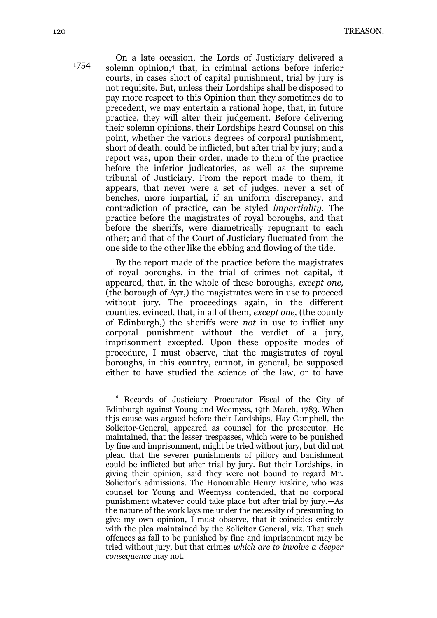On a late occasion, the Lords of Justiciary delivered a solemn opinion,<sup>4</sup> that, in criminal actions before inferior courts, in cases short of capital punishment, trial by jury is not requisite. But, unless their Lordships shall be disposed to pay more respect to this Opinion than they sometimes do to precedent, we may entertain a rational hope, that, in future practice, they will alter their judgement. Before delivering their solemn opinions, their Lordships heard Counsel on this point, whether the various degrees of corporal punishment, short of death, could be inflicted, but after trial by jury; and a report was, upon their order, made to them of the practice before the inferior judicatories, as well as the supreme tribunal of Justiciary. From the report made to them, it appears, that never were a set of judges, never a set of benches, more impartial, if an uniform discrepancy, and contradiction of practice, can be styled *impartiality.* The practice before the magistrates of royal boroughs, and that before the sheriffs, were diametrically repugnant to each other; and that of the Court of Justiciary fluctuated from the one side to the other like the ebbing and flowing of the tide.

By the report made of the practice before the magistrates of royal boroughs, in the trial of crimes not capital, it appeared, that, in the whole of these boroughs, *except one,* (the borough of Ayr,) the magistrates were in use to proceed without jury. The proceedings again, in the different counties, evinced, that, in all of them, *except one,* (the county of Edinburgh,) the sheriffs were *not* in use to inflict any corporal punishment without the verdict of a jury, imprisonment excepted. Upon these opposite modes of procedure, I must observe, that the magistrates of royal boroughs, in this country, cannot, in general, be supposed either to have studied the science of the law, or to have

 $\overline{a}$ 

<sup>4</sup> Records of Justiciary—Procurator Fiscal of the City of Edinburgh against Young and Weemyss, 19th March, 1783. When thjs cause was argued before their Lordships, Hay Campbell, the Solicitor-General, appeared as counsel for the prosecutor. He maintained, that the lesser trespasses, which were to be punished by fine and imprisonment, might be tried without jury, but did not plead that the severer punishments of pillory and banishment could be inflicted but after trial by jury. But their Lordships, in giving their opinion, said they were not bound to regard Mr. Solicitor's admissions. The Honourable Henry Erskine, who was counsel for Young and Weemyss contended, that no corporal punishment whatever could take place but after trial by jury.—As the nature of the work lays me under the necessity of presuming to give my own opinion, I must observe, that it coincides entirely with the plea maintained by the Solicitor General, viz. That such offences as fall to be punished by fine and imprisonment may be tried without jury, but that crimes *which are to involve a deeper consequence* may not.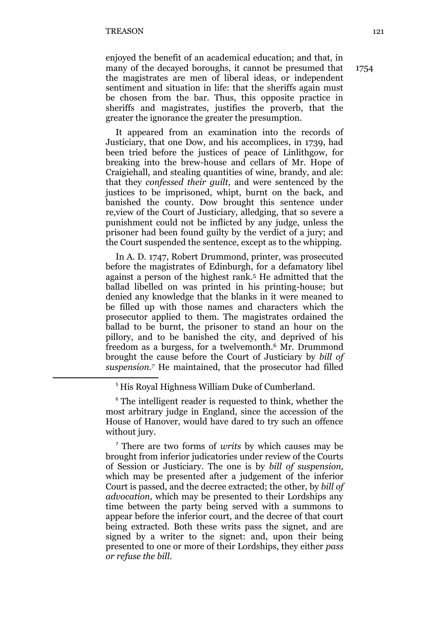**.** 

enjoyed the benefit of an academical education; and that, in many of the decayed boroughs, it cannot be presumed that the magistrates are men of liberal ideas, or independent sentiment and situation in life: that the sheriffs again must be chosen from the bar. Thus, this opposite practice in sheriffs and magistrates, justifies the proverb, that the greater the ignorance the greater the presumption.

It appeared from an examination into the records of Justiciary, that one Dow, and his accomplices, in 1739, had been tried before the justices of peace of Linlithgow, for breaking into the brew-house and cellars of Mr. Hope of Craigiehall, and stealing quantities of wine, brandy, and ale: that they *confessed their guilt,* and were sentenced by the justices to be imprisoned, whipt, burnt on the back, and banished the county. Dow brought this sentence under re,view of the Court of Justiciary, alledging, that so severe a punishment could not be inflicted by any judge, unless the prisoner had been found guilty by the verdict of a jury; and the Court suspended the sentence, except as to the whipping.

In A. D. 1747, Robert Drummond, printer, was prosecuted before the magistrates of Edinburgh, for a defamatory libel against a person of the highest rank.<sup>5</sup> He admitted that the ballad libelled on was printed in his printing-house; but denied any knowledge that the blanks in it were meaned to be filled up with those names and characters which the prosecutor applied to them. The magistrates ordained the ballad to be burnt, the prisoner to stand an hour on the pillory, and to be banished the city, and deprived of his freedom as a burgess, for a twelvemonth.<sup>6</sup> Mr. Drummond brought the cause before the Court of Justiciary by *bill of suspension.<sup>7</sup>* He maintained, that the prosecutor had filled

<sup>7</sup> There are two forms of *writs* by which causes may be brought from inferior judicatories under review of the Courts of Session or Justiciary. The one is by *bill of suspension,* which may be presented after a judgement of the inferior Court is passed, and the decree extracted; the other, by *bill of advocation,* which may be presented to their Lordships any time between the party being served with a summons to appear before the inferior court, and the decree of that court being extracted. Both these writs pass the signet, and are signed by a writer to the signet: and, upon their being presented to one or more of their Lordships, they either *pass or refuse the bill.*

<sup>&</sup>lt;sup>5</sup> His Royal Highness William Duke of Cumberland.

<sup>&</sup>lt;sup>6</sup> The intelligent reader is requested to think, whether the most arbitrary judge in England, since the accession of the House of Hanover, would have dared to try such an offence without jury.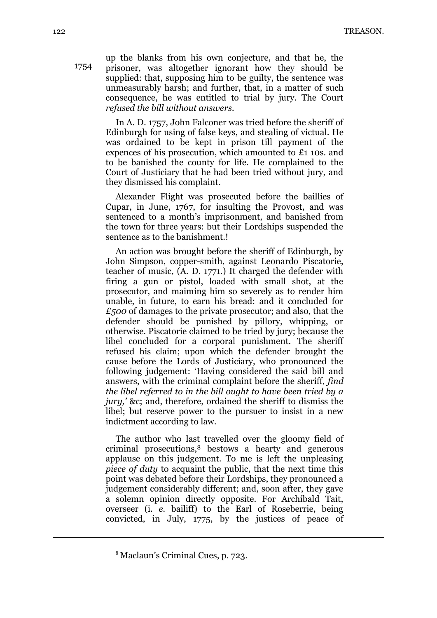up the blanks from his own conjecture, and that he, the prisoner, was altogether ignorant how they should be supplied: that, supposing him to be guilty, the sentence was unmeasurably harsh; and further, that, in a matter of such consequence, he was entitled to trial by jury. The Court *refused the bill without answers.*

In A. D. 1757, John Falconer was tried before the sheriff of Edinburgh for using of false keys, and stealing of victual. He was ordained to be kept in prison till payment of the expences of his prosecution, which amounted to £1 10s. and to be banished the county for life. He complained to the Court of Justiciary that he had been tried without jury, and they dismissed his complaint.

Alexander Flight was prosecuted before the baillies of Cupar, in June, 1767, for insulting the Provost, and was sentenced to a month's imprisonment, and banished from the town for three years: but their Lordships suspended the sentence as to the banishment.!

An action was brought before the sheriff of Edinburgh, by John Simpson, copper-smith, against Leonardo Piscatorie, teacher of music, (A. D. 1771.) It charged the defender with firing a gun or pistol, loaded with small shot, at the prosecutor, and maiming him so severely as to render him unable, in future, to earn his bread: and it concluded for *£500* of damages to the private prosecutor; and also, that the defender should be punished by pillory, whipping, or otherwise. Piscatorie claimed to be tried by jury; because the libel concluded for a corporal punishment. The sheriff refused his claim; upon which the defender brought the cause before the Lords of Justiciary, who pronounced the following judgement: 'Having considered the said bill and answers, with the criminal complaint before the sheriff, *find the libel referred to in the bill ought to have been tried by a jury,* &c; and, therefore, ordained the sheriff to dismiss the libel; but reserve power to the pursuer to insist in a new indictment according to law.

The author who last travelled over the gloomy field of criminal prosecutions,<sup>8</sup> bestows a hearty and generous applause on this judgement. To me is left the unpleasing *piece of duty* to acquaint the public, that the next time this point was debated before their Lordships, they pronounced a judgement considerably different; and, soon after, they gave a solemn opinion directly opposite. For Archibald Tait, overseer (i. *e.* bailiff) to the Earl of Roseberrie, being convicted, in July, 1775, by the justices of peace of

1754

**.** 

<sup>8</sup> Maclaun's Criminal Cues, p. 723.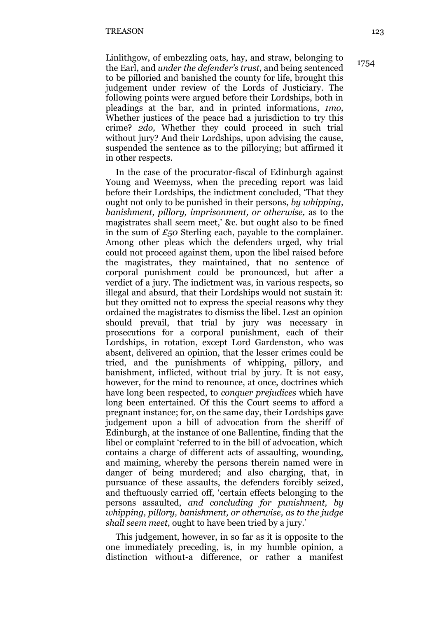Linlithgow, of embezzling oats, hay, and straw, belonging to the Earl, and *under the defender's trust*, and being sentenced to be pilloried and banished the county for life, brought this judgement under review of the Lords of Justiciary. The following points were argued before their Lordships, both in pleadings at the bar, and in printed informations, *1mo,* Whether justices of the peace had a jurisdiction to try this crime? *2do,* Whether they could proceed in such trial without jury? And their Lordships, upon advising the cause, suspended the sentence as to the pillorying; but affirmed it in other respects.

In the case of the procurator-fiscal of Edinburgh against Young and Weemyss, when the preceding report was laid before their Lordships, the indictment concluded, 'That they ought not only to be punished in their persons, *by whipping, banishment, pillory, imprisonment, or otherwise,* as to the magistrates shall seem meet,' &c. but ought also to be fined in the sum of *£50* Sterling each, payable to the complainer. Among other pleas which the defenders urged, why trial could not proceed against them, upon the libel raised before the magistrates, they maintained, that no sentence of corporal punishment could be pronounced, but after a verdict of a jury. The indictment was, in various respects, so illegal and absurd, that their Lordships would not sustain it: but they omitted not to express the special reasons why they ordained the magistrates to dismiss the libel. Lest an opinion should prevail, that trial by jury was necessary in prosecutions for a corporal punishment, each of their Lordships, in rotation, except Lord Gardenston, who was absent, delivered an opinion, that the lesser crimes could be tried, and the punishments of whipping, pillory, and banishment, inflicted, without trial by jury. It is not easy, however, for the mind to renounce, at once, doctrines which have long been respected, to *conquer prejudices* which have long been entertained. Of this the Court seems to afford a pregnant instance; for, on the same day, their Lordships gave judgement upon a bill of advocation from the sheriff of Edinburgh, at the instance of one Ballentine, finding that the libel or complaint 'referred to in the bill of advocation, which contains a charge of different acts of assaulting, wounding, and maiming, whereby the persons therein named were in danger of being murdered; and also charging, that, in pursuance of these assaults, the defenders forcibly seized, and theftuously carried off, 'certain effects belonging to the persons assaulted, *and concluding for punishment, by whipping, pillory, banishment, or otherwise, as to the judge shall seem meet,* ought to have been tried by a jury.'

This judgement, however, in so far as it is opposite to the one immediately preceding, is, in my humble opinion, a distinction without-a difference, or rather a manifest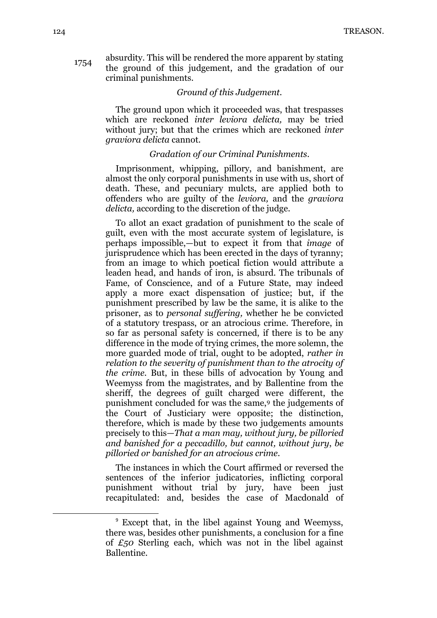absurdity. This will be rendered the more apparent by stating the ground of this judgement, and the gradation of our criminal punishments. 1754

#### *Ground of this Judgement.*

The ground upon which it proceeded was, that trespasses which are reckoned *inter leviora delicta,* may be tried without jury; but that the crimes which are reckoned *inter graviora delicta* cannot.

#### *Gradation of our Criminal Punishments.*

Imprisonment, whipping, pillory, and banishment, are almost the only corporal punishments in use with us, short of death. These, and pecuniary mulcts, are applied both to offenders who are guilty of the *leviora,* and the *graviora delicta,* according to the discretion of the judge.

To allot an exact gradation of punishment to the scale of guilt, even with the most accurate system of legislature, is perhaps impossible,—but to expect it from that *image* of jurisprudence which has been erected in the days of tyranny; from an image to which poetical fiction would attribute a leaden head, and hands of iron, is absurd. The tribunals of Fame, of Conscience, and of a Future State, may indeed apply a more exact dispensation of justice; but, if the punishment prescribed by law be the same, it is alike to the prisoner, as to *personal suffering,* whether he be convicted of a statutory trespass, or an atrocious crime. Therefore, in so far as personal safety is concerned, if there is to be any difference in the mode of trying crimes, the more solemn, the more guarded mode of trial, ought to be adopted, *rather in relation to the severity of punishment than to the atrocity of the crime.* But, in these bills of advocation by Young and Weemyss from the magistrates, and by Ballentine from the sheriff, the degrees of guilt charged were different, the punishment concluded for was the same,<sup>9</sup> the judgements of the Court of Justiciary were opposite; the distinction, therefore, which is made by these two judgements amounts precisely to this—*That a man may, without jury, be pilloried and banished for a peccadillo, but cannot, without jury*, *be pilloried or banished for an atrocious crime.*

The instances in which the Court affirmed or reversed the sentences of the inferior judicatories, inflicting corporal punishment without trial by jury, have been just recapitulated: and, besides the case of Macdonald of

<sup>9</sup> Except that, in the libel against Young and Weemyss, there was, besides other punishments, a conclusion for a fine of *£50* Sterling each, which was not in the libel against Ballentine.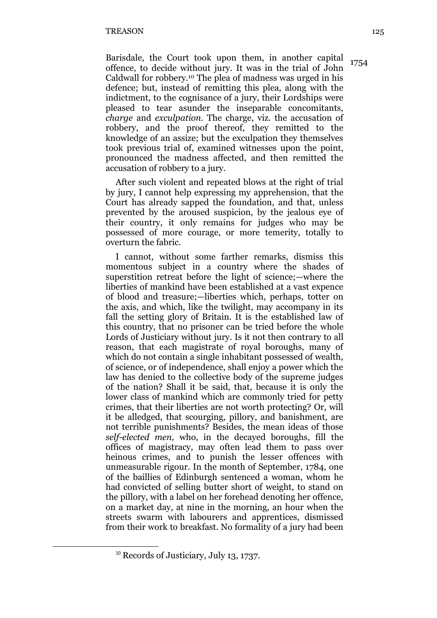Barisdale, the Court took upon them, in another capital offence, to decide without jury. It was in the trial of John Caldwall for robbery.<sup>10</sup> The plea of madness was urged in his defence; but, instead of remitting this plea, along with the indictment, to the cognisance of a jury, their Lordships were pleased to tear asunder the inseparable concomitants, *charge* and *exculpation.* The charge, viz. the accusation of robbery, and the proof thereof, they remitted to the knowledge of an assize; but the exculpation they themselves took previous trial of, examined witnesses upon the point, pronounced the madness affected, and then remitted the accusation of robbery to a jury. 1754

After such violent and repeated blows at the right of trial by jury, I cannot help expressing my apprehension, that the Court has already sapped the foundation, and that, unless prevented by the aroused suspicion, by the jealous eye of their country, it only remains for judges who may be possessed of more courage, or more temerity, totally to overturn the fabric.

I cannot, without some farther remarks, dismiss this momentous subject in a country where the shades of superstition retreat before the light of science;—where the liberties of mankind have been established at a vast expence of blood and treasure;—liberties which, perhaps, totter on the axis, and which, like the twilight, may accompany in its fall the setting glory of Britain. It is the established law of this country, that no prisoner can be tried before the whole Lords of Justiciary without jury. Is it not then contrary to all reason, that each magistrate of royal boroughs, many of which do not contain a single inhabitant possessed of wealth, of science, or of independence, shall enjoy a power which the law has denied to the collective body of the supreme judges of the nation? Shall it be said, that, because it is only the lower class of mankind which are commonly tried for petty crimes, that their liberties are not worth protecting? Or, will it be alledged, that scourging, pillory, and banishment, are not terrible punishments? Besides, the mean ideas of those *self-elected men,* who, in the decayed boroughs, fill the offices of magistracy, may often lead them to pass over heinous crimes, and to punish the lesser offences with unmeasurable rigour. In the month of September, 1784, one of the baillies of Edinburgh sentenced a woman, whom he had convicted of selling butter short of weight, to stand on the pillory, with a label on her forehead denoting her offence, on a market day, at nine in the morning, an hour when the streets swarm with labourers and apprentices, dismissed from their work to breakfast. No formality of a jury had been

<sup>&</sup>lt;sup>10</sup> Records of Justiciary, July 13, 1737.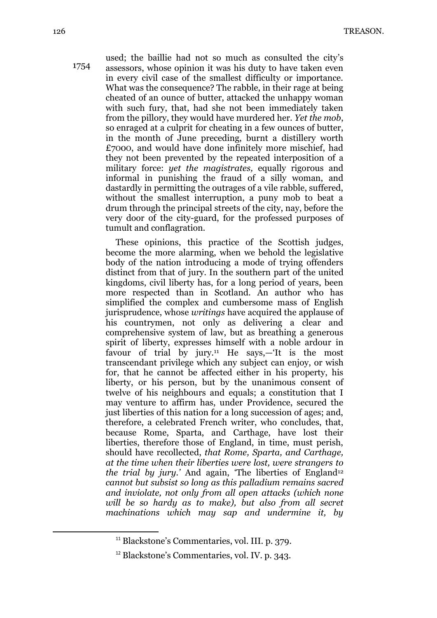used; the baillie had not so much as consulted the city's assessors, whose opinion it was his duty to have taken even in every civil case of the smallest difficulty or importance. What was the consequence? The rabble, in their rage at being cheated of an ounce of butter, attacked the unhappy woman with such fury, that, had she not been immediately taken from the pillory, they would have murdered her. *Yet the mob*, so enraged at a culprit for cheating in a few ounces of butter, in the month of June preceding, burnt a distillery worth £7O0O, and would have done infinitely more mischief, had they not been prevented by the repeated interposition of a military force: *yet the magistrates,* equally rigorous and informal in punishing the fraud of a silly woman, and dastardly in permitting the outrages of a vile rabble, suffered, without the smallest interruption, a puny mob to beat a drum through the principal streets of the city, nay, before the very door of the city-guard, for the professed purposes of tumult and conflagration. 1754

> These opinions, this practice of the Scottish judges, become the more alarming, when we behold the legislative body of the nation introducing a mode of trying offenders distinct from that of jury. In the southern part of the united kingdoms, civil liberty has, for a long period of years, been more respected than in Scotland. An author who has simplified the complex and cumbersome mass of English jurisprudence, whose *writings* have acquired the applause of his countrymen, not only as delivering a clear and comprehensive system of law, but as breathing a generous spirit of liberty, expresses himself with a noble ardour in favour of trial by jury.<sup>11</sup> He says,—'It is the most transcendant privilege which any subject can enjoy, or wish for, that he cannot be affected either in his property, his liberty, or his person, but by the unanimous consent of twelve of his neighbours and equals; a constitution that I may venture to affirm has, under Providence, secured the just liberties of this nation for a long succession of ages; and, therefore, a celebrated French writer, who concludes, that, because Rome, Sparta, and Carthage, have lost their liberties, therefore those of England, in time, must perish, should have recollected, *that Rome, Sparta, and Carthage, at the time when their liberties were lost, were strangers to the trial by jury.*<sup>*'*</sup> And again, 'The liberties of England<sup>12</sup> *cannot but subsist so long as this palladium remains sacred and inviolate, not only from all open attacks (which none will be so hardy as to make), but also from all secret machinations which may sap and undermine it, by*

**.** 

<sup>&</sup>lt;sup>11</sup> Blackstone's Commentaries, vol. III. p. 379.

<sup>12</sup> Blackstone's Commentaries, vol. IV. p. 343.